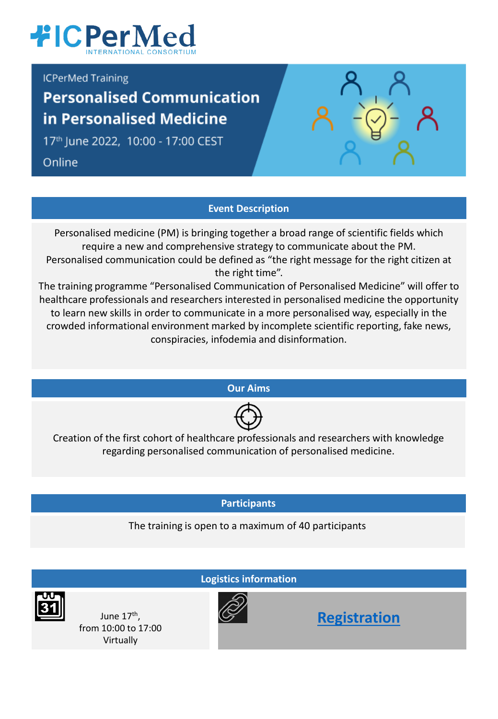

**ICPerMed Training** 

# **Personalised Communication** in Personalised Medicine

17th June 2022, 10:00 - 17:00 CEST

Online

## **Event Description**

Personalised medicine (PM) is bringing together a broad range of scientific fields which require a new and comprehensive strategy to communicate about the PM. Personalised communication could be defined as "the right message for the right citizen at the right time".

The training programme "Personalised Communication of Personalised Medicine" will offer to healthcare professionals and researchers interested in personalised medicine the opportunity to learn new skills in order to communicate in a more personalised way, especially in the crowded informational environment marked by incomplete scientific reporting, fake news, conspiracies, infodemia and disinformation.

**Our Aims**



Creation of the first cohort of healthcare professionals and researchers with knowledge regarding personalised communication of personalised medicine.

**Participants**

The training is open to a maximum of 40 participants

**Logistics information**

June 17<sup>th</sup>, from 10:00 to 17:00 Virtually